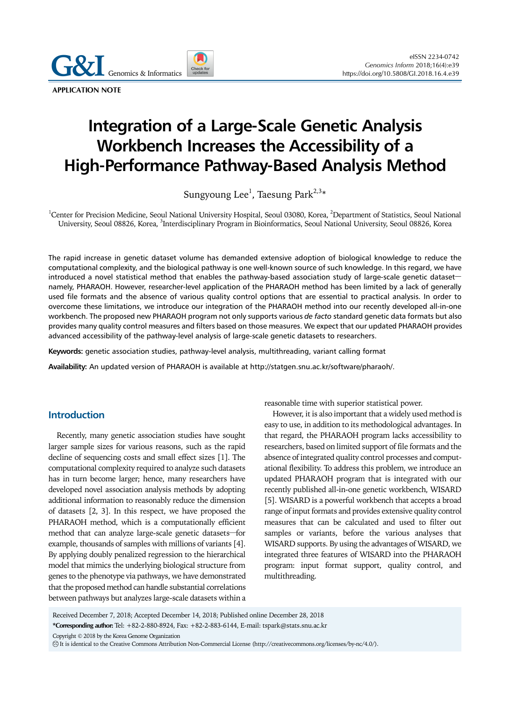**APPLICATION NOTE**

# **Integration of a Large-Scale Genetic Analysis Workbench Increases the Accessibility of a High-Performance Pathway-Based Analysis Method**

Sungyoung Lee $^{\rm l}$ , Taesung Park $^{2,3}$ \*

<sup>1</sup>Center for Precision Medicine, Seoul National University Hospital, Seoul 03080, Korea, <sup>2</sup>Department of Statistics, Seoul National University, Seoul 08826, Korea, <sup>3</sup>Interdisciplinary Program in Bioinformatics, Seoul National University, Seoul 08826, Korea

The rapid increase in genetic dataset volume has demanded extensive adoption of biological knowledge to reduce the computational complexity, and the biological pathway is one well-known source of such knowledge. In this regard, we have introduced a novel statistical method that enables the pathway-based association study of large-scale genetic dataset namely, PHARAOH. However, researcher-level application of the PHARAOH method has been limited by a lack of generally used file formats and the absence of various quality control options that are essential to practical analysis. In order to overcome these limitations, we introduce our integration of the PHARAOH method into our recently developed all-in-one workbench. The proposed new PHARAOH program not only supports various *de facto* standard genetic data formats but also provides many quality control measures and filters based on those measures. We expect that our updated PHARAOH provides advanced accessibility of the pathway-level analysis of large-scale genetic datasets to researchers.

**Keywords:** genetic association studies, pathway-level analysis, multithreading, variant calling format

**Availability:** An updated version of PHARAOH is available at http://statgen.snu.ac.kr/software/pharaoh/.

#### **Introduction**

Recently, many genetic association studies have sought larger sample sizes for various reasons, such as the rapid decline of sequencing costs and small effect sizes [1]. The computational complexity required to analyze such datasets has in turn become larger; hence, many researchers have developed novel association analysis methods by adopting additional information to reasonably reduce the dimension of datasets [2, 3]. In this respect, we have proposed the PHARAOH method, which is a computationally efficient method that can analyze large-scale genetic datasets—for example, thousands of samples with millions of variants [4]. By applying doubly penalized regression to the hierarchical model that mimics the underlying biological structure from genes to the phenotype via pathways, we have demonstrated that the proposed method can handle substantial correlations between pathways but analyzes large-scale datasets within a

reasonable time with superior statistical power.

However, it is also important that a widely used method is easy to use, in addition to its methodological advantages. In that regard, the PHARAOH program lacks accessibility to researchers, based on limited support of file formats and the absence of integrated quality control processes and computational flexibility. To address this problem, we introduce an updated PHARAOH program that is integrated with our recently published all-in-one genetic workbench, WISARD [5]. WISARD is a powerful workbench that accepts a broad range of input formats and provides extensive quality control measures that can be calculated and used to filter out samples or variants, before the various analyses that WISARD supports. By using the advantages of WISARD, we integrated three features of WISARD into the PHARAOH program: input format support, quality control, and multithreading.

Received December 7, 2018; Accepted December 14, 2018; Published online December 28, 2018

**\*Corresponding author:** Tel: +82-2-880-8924, Fax: +82-2-883-6144, E-mail: tspark@stats.snu.ac.kr

Copyright © 2018 by the Korea Genome Organization

CC It is identical to the Creative Commons Attribution Non-Commercial License (http://creativecommons.org/licenses/by-nc/4.0/).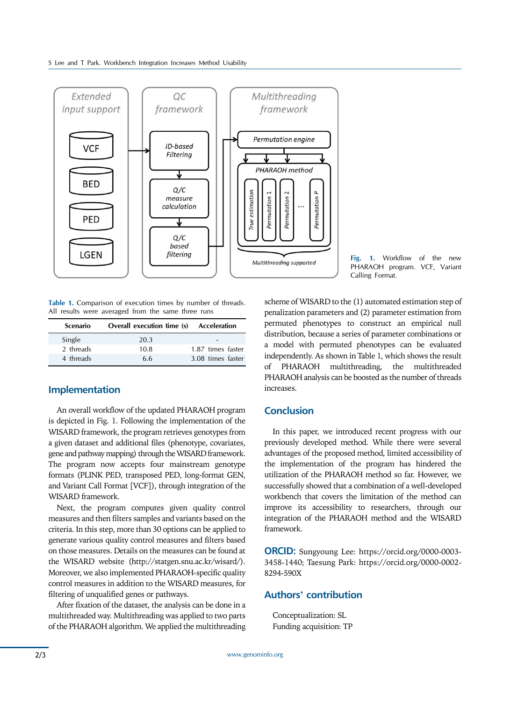

**Table 1.** Comparison of execution times by number of threads. All results were averaged from the same three runs

| <b>Scenario</b> | Overall execution time (s) Acceleration |                   |
|-----------------|-----------------------------------------|-------------------|
| Single          | 20.3                                    |                   |
| 2 threads       | 10.8                                    | 1.87 times faster |
| 4 threads       | 6.6                                     | 3.08 times faster |

### **Implementation**

An overall workflow of the updated PHARAOH program is depicted in Fig. 1. Following the implementation of the WISARD framework, the program retrieves genotypes from a given dataset and additional files (phenotype, covariates, gene and pathway mapping) through the WISARD framework. The program now accepts four mainstream genotype formats (PLINK PED, transposed PED, long-format GEN, and Variant Call Format [VCF]), through integration of the WISARD framework.

Next, the program computes given quality control measures and then filters samples and variants based on the criteria. In this step, more than 30 options can be applied to generate various quality control measures and filters based on those measures. Details on the measures can be found at the WISARD website (http://statgen.snu.ac.kr/wisard/). Moreover, we also implemented PHARAOH-specific quality control measures in addition to the WISARD measures, for filtering of unqualified genes or pathways.

After fixation of the dataset, the analysis can be done in a multithreaded way. Multithreading was applied to two parts of the PHARAOH algorithm. We applied the multithreading **Fig. 1.** Workflow of the new PHARAOH program. VCF, Variant Calling Format.

scheme of WISARD to the (1) automated estimation step of penalization parameters and (2) parameter estimation from permuted phenotypes to construct an empirical null distribution, because a series of parameter combinations or a model with permuted phenotypes can be evaluated independently. As shown in Table 1, which shows the result of PHARAOH multithreading, the multithreaded PHARAOH analysis can be boosted as the number of threads increases.

### **Conclusion**

In this paper, we introduced recent progress with our previously developed method. While there were several advantages of the proposed method, limited accessibility of the implementation of the program has hindered the utilization of the PHARAOH method so far. However, we successfully showed that a combination of a well-developed workbench that covers the limitation of the method can improve its accessibility to researchers, through our integration of the PHARAOH method and the WISARD framework.

**ORCID:** Sungyoung Lee: https://orcid.org/0000-0003- 3458-1440; Taesung Park: https://orcid.org/0000-0002- 8294-590X

## **Authors' contribution**

Conceptualization: SL Funding acquisition: TP